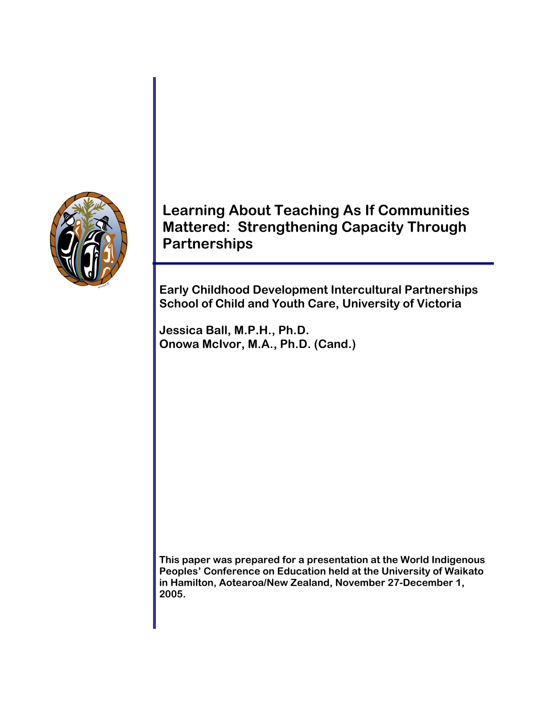

**Learning About Teaching As If Communities Mattered: Strengthening Capacity Through Partnerships** 

**Early Childhood Development Intercultural Partnerships School of Child and Youth Care, University of Victoria** 

**Jessica Ball, M.P.H., Ph.D. Onowa McIvor, M.A., Ph.D. (Cand.)** 

**This paper was prepared for a presentation at the World Indigenous Peoples' Conference on Education held at the University of Waikato in Hamilton, Aotearoa/New Zealand, November 27-December 1, 2005.**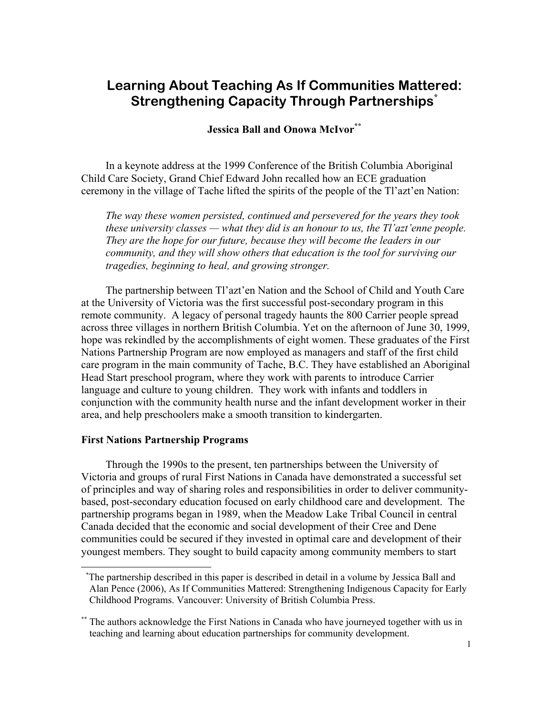# **Learning About Teaching As If Communities Mattered: Strengthening Capacity Through Partnerships\***

**Jessica Ball and Onowa McIvor\*\***

In a keynote address at the 1999 Conference of the British Columbia Aboriginal Child Care Society, Grand Chief Edward John recalled how an ECE graduation ceremony in the village of Tache lifted the spirits of the people of the Tl'azt'en Nation:

*The way these women persisted, continued and persevered for the years they took these university classes — what they did is an honour to us, the Tl'azt'enne people. They are the hope for our future, because they will become the leaders in our community, and they will show others that education is the tool for surviving our tragedies, beginning to heal, and growing stronger.* 

The partnership between Tl'azt'en Nation and the School of Child and Youth Care at the University of Victoria was the first successful post-secondary program in this remote community. A legacy of personal tragedy haunts the 800 Carrier people spread across three villages in northern British Columbia. Yet on the afternoon of June 30, 1999, hope was rekindled by the accomplishments of eight women. These graduates of the First Nations Partnership Program are now employed as managers and staff of the first child care program in the main community of Tache, B.C. They have established an Aboriginal Head Start preschool program, where they work with parents to introduce Carrier language and culture to young children. They work with infants and toddlers in conjunction with the community health nurse and the infant development worker in their area, and help preschoolers make a smooth transition to kindergarten.

#### **First Nations Partnership Programs**

 $\overline{a}$ 

Through the 1990s to the present, ten partnerships between the University of Victoria and groups of rural First Nations in Canada have demonstrated a successful set of principles and way of sharing roles and responsibilities in order to deliver communitybased, post-secondary education focused on early childhood care and development. The partnership programs began in 1989, when the Meadow Lake Tribal Council in central Canada decided that the economic and social development of their Cree and Dene communities could be secured if they invested in optimal care and development of their youngest members. They sought to build capacity among community members to start

\* The partnership described in this paper is described in detail in a volume by Jessica Ball and Alan Pence (2006), As If Communities Mattered: Strengthening Indigenous Capacity for Early Childhood Programs. Vancouver: University of British Columbia Press.

<sup>\*\*</sup> The authors acknowledge the First Nations in Canada who have journeyed together with us in teaching and learning about education partnerships for community development.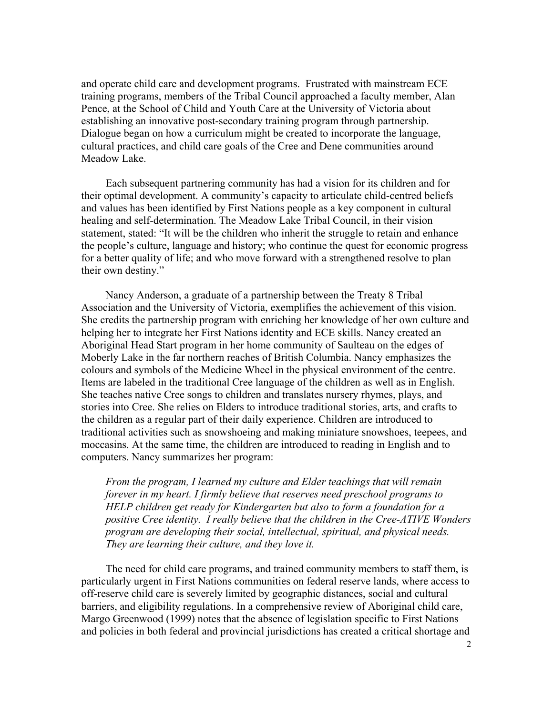and operate child care and development programs. Frustrated with mainstream ECE training programs, members of the Tribal Council approached a faculty member, Alan Pence, at the School of Child and Youth Care at the University of Victoria about establishing an innovative post-secondary training program through partnership. Dialogue began on how a curriculum might be created to incorporate the language, cultural practices, and child care goals of the Cree and Dene communities around Meadow Lake.

Each subsequent partnering community has had a vision for its children and for their optimal development. A community's capacity to articulate child-centred beliefs and values has been identified by First Nations people as a key component in cultural healing and self-determination. The Meadow Lake Tribal Council, in their vision statement, stated: "It will be the children who inherit the struggle to retain and enhance the people's culture, language and history; who continue the quest for economic progress for a better quality of life; and who move forward with a strengthened resolve to plan their own destiny."

Nancy Anderson, a graduate of a partnership between the Treaty 8 Tribal Association and the University of Victoria, exemplifies the achievement of this vision. She credits the partnership program with enriching her knowledge of her own culture and helping her to integrate her First Nations identity and ECE skills. Nancy created an Aboriginal Head Start program in her home community of Saulteau on the edges of Moberly Lake in the far northern reaches of British Columbia. Nancy emphasizes the colours and symbols of the Medicine Wheel in the physical environment of the centre. Items are labeled in the traditional Cree language of the children as well as in English. She teaches native Cree songs to children and translates nursery rhymes, plays, and stories into Cree. She relies on Elders to introduce traditional stories, arts, and crafts to the children as a regular part of their daily experience. Children are introduced to traditional activities such as snowshoeing and making miniature snowshoes, teepees, and moccasins. At the same time, the children are introduced to reading in English and to computers. Nancy summarizes her program:

*From the program, I learned my culture and Elder teachings that will remain forever in my heart. I firmly believe that reserves need preschool programs to HELP children get ready for Kindergarten but also to form a foundation for a positive Cree identity. I really believe that the children in the Cree-ATIVE Wonders program are developing their social, intellectual, spiritual, and physical needs. They are learning their culture, and they love it.* 

The need for child care programs, and trained community members to staff them, is particularly urgent in First Nations communities on federal reserve lands, where access to off-reserve child care is severely limited by geographic distances, social and cultural barriers, and eligibility regulations. In a comprehensive review of Aboriginal child care, Margo Greenwood (1999) notes that the absence of legislation specific to First Nations and policies in both federal and provincial jurisdictions has created a critical shortage and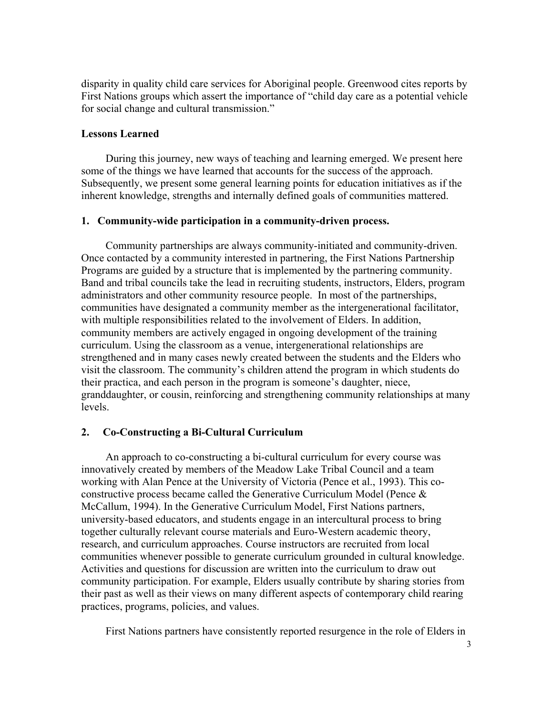disparity in quality child care services for Aboriginal people. Greenwood cites reports by First Nations groups which assert the importance of "child day care as a potential vehicle for social change and cultural transmission."

## **Lessons Learned**

During this journey, new ways of teaching and learning emerged. We present here some of the things we have learned that accounts for the success of the approach. Subsequently, we present some general learning points for education initiatives as if the inherent knowledge, strengths and internally defined goals of communities mattered.

## **1. Community-wide participation in a community-driven process.**

Community partnerships are always community-initiated and community-driven. Once contacted by a community interested in partnering, the First Nations Partnership Programs are guided by a structure that is implemented by the partnering community. Band and tribal councils take the lead in recruiting students, instructors, Elders, program administrators and other community resource people. In most of the partnerships, communities have designated a community member as the intergenerational facilitator, with multiple responsibilities related to the involvement of Elders. In addition, community members are actively engaged in ongoing development of the training curriculum. Using the classroom as a venue, intergenerational relationships are strengthened and in many cases newly created between the students and the Elders who visit the classroom. The community's children attend the program in which students do their practica, and each person in the program is someone's daughter, niece, granddaughter, or cousin, reinforcing and strengthening community relationships at many levels.

#### **2. Co-Constructing a Bi-Cultural Curriculum**

An approach to co-constructing a bi-cultural curriculum for every course was innovatively created by members of the Meadow Lake Tribal Council and a team working with Alan Pence at the University of Victoria (Pence et al., 1993). This coconstructive process became called the Generative Curriculum Model (Pence  $\&$ McCallum, 1994). In the Generative Curriculum Model, First Nations partners, university-based educators, and students engage in an intercultural process to bring together culturally relevant course materials and Euro-Western academic theory, research, and curriculum approaches. Course instructors are recruited from local communities whenever possible to generate curriculum grounded in cultural knowledge. Activities and questions for discussion are written into the curriculum to draw out community participation. For example, Elders usually contribute by sharing stories from their past as well as their views on many different aspects of contemporary child rearing practices, programs, policies, and values.

First Nations partners have consistently reported resurgence in the role of Elders in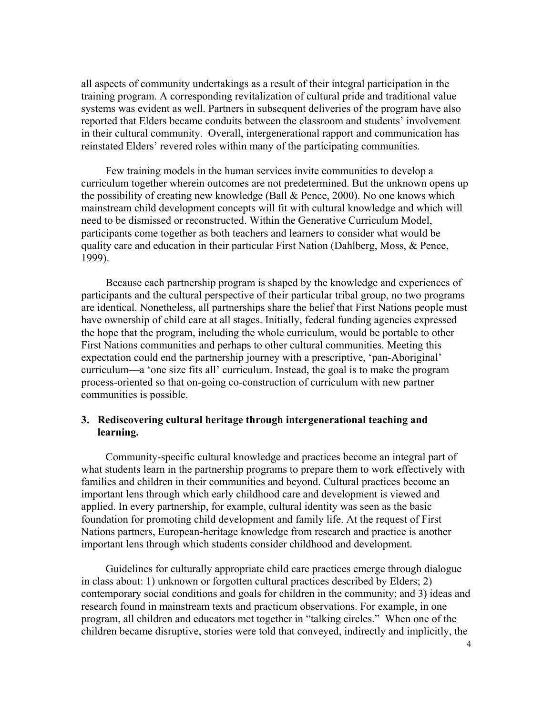all aspects of community undertakings as a result of their integral participation in the training program. A corresponding revitalization of cultural pride and traditional value systems was evident as well. Partners in subsequent deliveries of the program have also reported that Elders became conduits between the classroom and students' involvement in their cultural community. Overall, intergenerational rapport and communication has reinstated Elders' revered roles within many of the participating communities.

Few training models in the human services invite communities to develop a curriculum together wherein outcomes are not predetermined. But the unknown opens up the possibility of creating new knowledge (Ball & Pence, 2000). No one knows which mainstream child development concepts will fit with cultural knowledge and which will need to be dismissed or reconstructed. Within the Generative Curriculum Model, participants come together as both teachers and learners to consider what would be quality care and education in their particular First Nation (Dahlberg, Moss, & Pence, 1999).

Because each partnership program is shaped by the knowledge and experiences of participants and the cultural perspective of their particular tribal group, no two programs are identical. Nonetheless, all partnerships share the belief that First Nations people must have ownership of child care at all stages. Initially, federal funding agencies expressed the hope that the program, including the whole curriculum, would be portable to other First Nations communities and perhaps to other cultural communities. Meeting this expectation could end the partnership journey with a prescriptive, 'pan-Aboriginal' curriculum—a 'one size fits all' curriculum. Instead, the goal is to make the program process-oriented so that on-going co-construction of curriculum with new partner communities is possible.

## **3. Rediscovering cultural heritage through intergenerational teaching and learning.**

Community-specific cultural knowledge and practices become an integral part of what students learn in the partnership programs to prepare them to work effectively with families and children in their communities and beyond. Cultural practices become an important lens through which early childhood care and development is viewed and applied. In every partnership, for example, cultural identity was seen as the basic foundation for promoting child development and family life. At the request of First Nations partners, European-heritage knowledge from research and practice is another important lens through which students consider childhood and development.

Guidelines for culturally appropriate child care practices emerge through dialogue in class about: 1) unknown or forgotten cultural practices described by Elders; 2) contemporary social conditions and goals for children in the community; and 3) ideas and research found in mainstream texts and practicum observations. For example, in one program, all children and educators met together in "talking circles." When one of the children became disruptive, stories were told that conveyed, indirectly and implicitly, the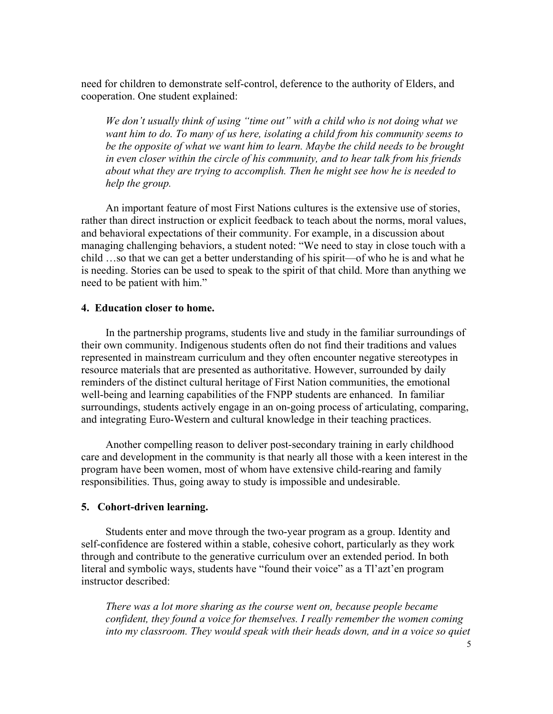need for children to demonstrate self-control, deference to the authority of Elders, and cooperation. One student explained:

*We don't usually think of using "time out" with a child who is not doing what we want him to do. To many of us here, isolating a child from his community seems to be the opposite of what we want him to learn. Maybe the child needs to be brought in even closer within the circle of his community, and to hear talk from his friends about what they are trying to accomplish. Then he might see how he is needed to help the group.* 

An important feature of most First Nations cultures is the extensive use of stories, rather than direct instruction or explicit feedback to teach about the norms, moral values, and behavioral expectations of their community. For example, in a discussion about managing challenging behaviors, a student noted: "We need to stay in close touch with a child …so that we can get a better understanding of his spirit—of who he is and what he is needing. Stories can be used to speak to the spirit of that child. More than anything we need to be patient with him."

### **4. Education closer to home.**

In the partnership programs, students live and study in the familiar surroundings of their own community. Indigenous students often do not find their traditions and values represented in mainstream curriculum and they often encounter negative stereotypes in resource materials that are presented as authoritative. However, surrounded by daily reminders of the distinct cultural heritage of First Nation communities, the emotional well-being and learning capabilities of the FNPP students are enhanced. In familiar surroundings, students actively engage in an on-going process of articulating, comparing, and integrating Euro-Western and cultural knowledge in their teaching practices.

Another compelling reason to deliver post-secondary training in early childhood care and development in the community is that nearly all those with a keen interest in the program have been women, most of whom have extensive child-rearing and family responsibilities. Thus, going away to study is impossible and undesirable.

#### **5. Cohort-driven learning.**

Students enter and move through the two-year program as a group. Identity and self-confidence are fostered within a stable, cohesive cohort, particularly as they work through and contribute to the generative curriculum over an extended period. In both literal and symbolic ways, students have "found their voice" as a Tl'azt'en program instructor described:

*There was a lot more sharing as the course went on, because people became confident, they found a voice for themselves. I really remember the women coming into my classroom. They would speak with their heads down, and in a voice so quiet*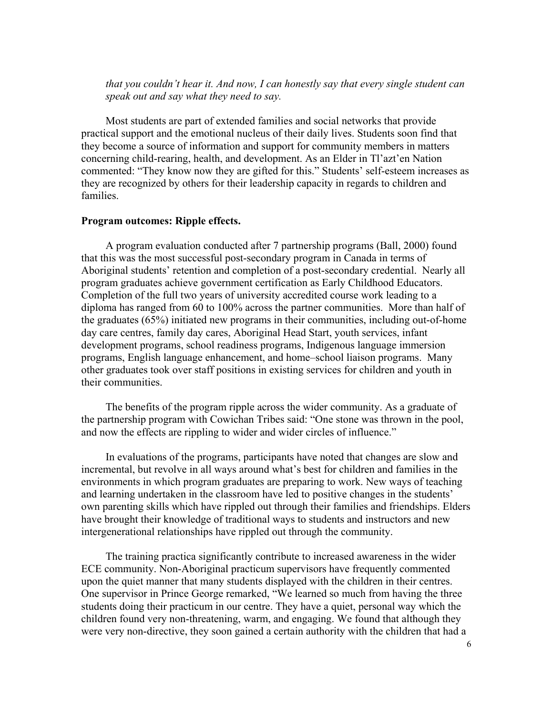# *that you couldn't hear it. And now, I can honestly say that every single student can speak out and say what they need to say.*

Most students are part of extended families and social networks that provide practical support and the emotional nucleus of their daily lives. Students soon find that they become a source of information and support for community members in matters concerning child-rearing, health, and development. As an Elder in Tl'azt'en Nation commented: "They know now they are gifted for this." Students' self-esteem increases as they are recognized by others for their leadership capacity in regards to children and families.

#### **Program outcomes: Ripple effects.**

A program evaluation conducted after 7 partnership programs (Ball, 2000) found that this was the most successful post-secondary program in Canada in terms of Aboriginal students' retention and completion of a post-secondary credential. Nearly all program graduates achieve government certification as Early Childhood Educators. Completion of the full two years of university accredited course work leading to a diploma has ranged from 60 to 100% across the partner communities. More than half of the graduates (65%) initiated new programs in their communities, including out-of-home day care centres, family day cares, Aboriginal Head Start, youth services, infant development programs, school readiness programs, Indigenous language immersion programs, English language enhancement, and home–school liaison programs. Many other graduates took over staff positions in existing services for children and youth in their communities.

The benefits of the program ripple across the wider community. As a graduate of the partnership program with Cowichan Tribes said: "One stone was thrown in the pool, and now the effects are rippling to wider and wider circles of influence."

In evaluations of the programs, participants have noted that changes are slow and incremental, but revolve in all ways around what's best for children and families in the environments in which program graduates are preparing to work. New ways of teaching and learning undertaken in the classroom have led to positive changes in the students' own parenting skills which have rippled out through their families and friendships. Elders have brought their knowledge of traditional ways to students and instructors and new intergenerational relationships have rippled out through the community.

The training practica significantly contribute to increased awareness in the wider ECE community. Non-Aboriginal practicum supervisors have frequently commented upon the quiet manner that many students displayed with the children in their centres. One supervisor in Prince George remarked, "We learned so much from having the three students doing their practicum in our centre. They have a quiet, personal way which the children found very non-threatening, warm, and engaging. We found that although they were very non-directive, they soon gained a certain authority with the children that had a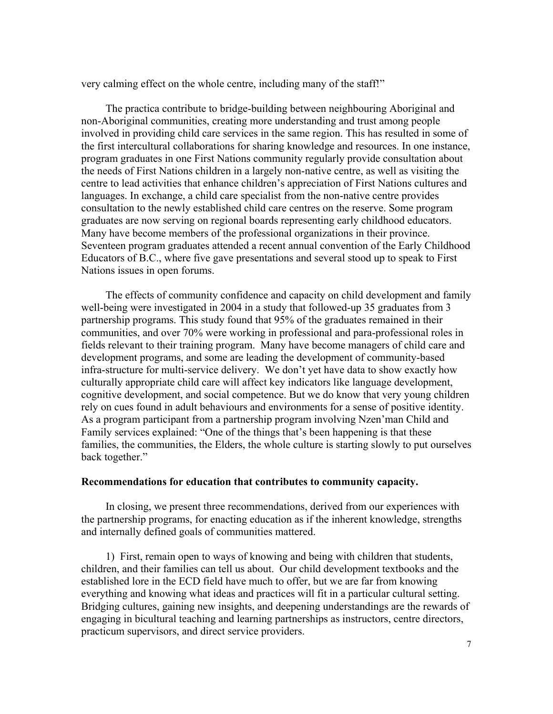very calming effect on the whole centre, including many of the staff!"

The practica contribute to bridge-building between neighbouring Aboriginal and non-Aboriginal communities, creating more understanding and trust among people involved in providing child care services in the same region. This has resulted in some of the first intercultural collaborations for sharing knowledge and resources. In one instance, program graduates in one First Nations community regularly provide consultation about the needs of First Nations children in a largely non-native centre, as well as visiting the centre to lead activities that enhance children's appreciation of First Nations cultures and languages. In exchange, a child care specialist from the non-native centre provides consultation to the newly established child care centres on the reserve. Some program graduates are now serving on regional boards representing early childhood educators. Many have become members of the professional organizations in their province. Seventeen program graduates attended a recent annual convention of the Early Childhood Educators of B.C., where five gave presentations and several stood up to speak to First Nations issues in open forums.

The effects of community confidence and capacity on child development and family well-being were investigated in 2004 in a study that followed-up 35 graduates from 3 partnership programs. This study found that 95% of the graduates remained in their communities, and over 70% were working in professional and para-professional roles in fields relevant to their training program. Many have become managers of child care and development programs, and some are leading the development of community-based infra-structure for multi-service delivery. We don't yet have data to show exactly how culturally appropriate child care will affect key indicators like language development, cognitive development, and social competence. But we do know that very young children rely on cues found in adult behaviours and environments for a sense of positive identity. As a program participant from a partnership program involving Nzen'man Child and Family services explained: "One of the things that's been happening is that these families, the communities, the Elders, the whole culture is starting slowly to put ourselves back together."

#### **Recommendations for education that contributes to community capacity.**

In closing, we present three recommendations, derived from our experiences with the partnership programs, for enacting education as if the inherent knowledge, strengths and internally defined goals of communities mattered.

1) First, remain open to ways of knowing and being with children that students, children, and their families can tell us about. Our child development textbooks and the established lore in the ECD field have much to offer, but we are far from knowing everything and knowing what ideas and practices will fit in a particular cultural setting. Bridging cultures, gaining new insights, and deepening understandings are the rewards of engaging in bicultural teaching and learning partnerships as instructors, centre directors, practicum supervisors, and direct service providers.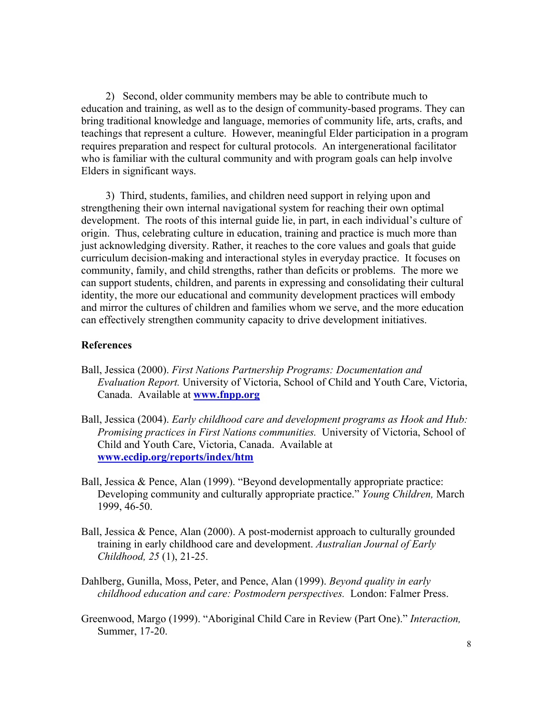2) Second, older community members may be able to contribute much to education and training, as well as to the design of community-based programs. They can bring traditional knowledge and language, memories of community life, arts, crafts, and teachings that represent a culture. However, meaningful Elder participation in a program requires preparation and respect for cultural protocols. An intergenerational facilitator who is familiar with the cultural community and with program goals can help involve Elders in significant ways.

3) Third, students, families, and children need support in relying upon and strengthening their own internal navigational system for reaching their own optimal development. The roots of this internal guide lie, in part, in each individual's culture of origin. Thus, celebrating culture in education, training and practice is much more than just acknowledging diversity. Rather, it reaches to the core values and goals that guide curriculum decision-making and interactional styles in everyday practice. It focuses on community, family, and child strengths, rather than deficits or problems. The more we can support students, children, and parents in expressing and consolidating their cultural identity, the more our educational and community development practices will embody and mirror the cultures of children and families whom we serve, and the more education can effectively strengthen community capacity to drive development initiatives.

#### **References**

- Ball, Jessica (2000). *First Nations Partnership Programs: Documentation and Evaluation Report.* University of Victoria, School of Child and Youth Care, Victoria, Canada. Available at **www.fnpp.org**
- Ball, Jessica (2004). *Early childhood care and development programs as Hook and Hub: Promising practices in First Nations communities.* University of Victoria, School of Child and Youth Care, Victoria, Canada. Available at **www.ecdip.org/reports/index/htm**
- Ball, Jessica & Pence, Alan (1999). "Beyond developmentally appropriate practice: Developing community and culturally appropriate practice." *Young Children,* March 1999, 46-50.
- Ball, Jessica & Pence, Alan (2000). A post-modernist approach to culturally grounded training in early childhood care and development. *Australian Journal of Early Childhood, 25* (1), 21-25.
- Dahlberg, Gunilla, Moss, Peter, and Pence, Alan (1999). *Beyond quality in early childhood education and care: Postmodern perspectives.* London: Falmer Press.
- Greenwood, Margo (1999). "Aboriginal Child Care in Review (Part One)." *Interaction,* Summer, 17-20.